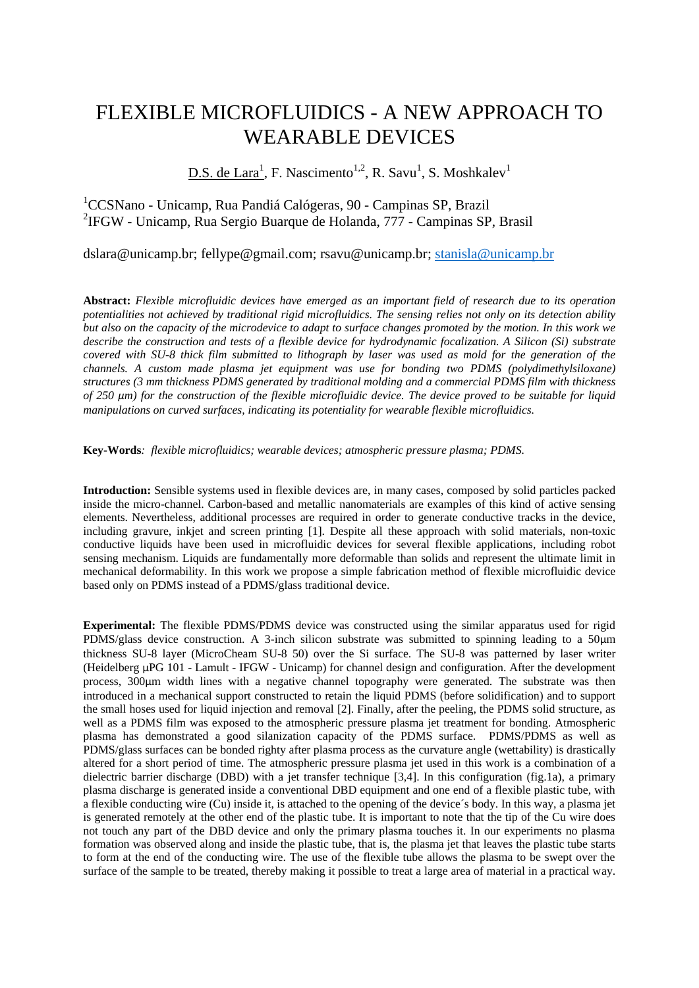## FLEXIBLE MICROFLUIDICS - A NEW APPROACH TO WEARABLE DEVICES

 $D.S.$  de Lara<sup>1</sup>, F. Nascimento<sup>1,2</sup>, R. Savu<sup>1</sup>, S. Moshkalev<sup>1</sup>

<sup>1</sup>CCSNano - Unicamp, Rua Pandiá Calógeras, 90 - Campinas SP, Brazil <sup>2</sup>IFGW - Unicamp, Rua Sergio Buarque de Holanda, 777 - Campinas SP, Brasil

dslara@unicamp.br; fellype@gmail.com; rsavu@unicamp.br; [stanisla@unicamp.br](mailto:risusut@commodo.com.br)

**Abstract:** *Flexible microfluidic devices have emerged as an important field of research due to its operation potentialities not achieved by traditional rigid microfluidics. The sensing relies not only on its detection ability but also on the capacity of the microdevice to adapt to surface changes promoted by the motion. In this work we describe the construction and tests of a flexible device for hydrodynamic focalization. A Silicon (Si) substrate covered with SU-8 thick film submitted to lithograph by laser was used as mold for the generation of the channels. A custom made plasma jet equipment was use for bonding two PDMS (polydimethylsiloxane) structures (3 mm thickness PDMS generated by traditional molding and a commercial PDMS film with thickness of 250 μm) for the construction of the flexible microfluidic device. The device proved to be suitable for liquid manipulations on curved surfaces, indicating its potentiality for wearable flexible microfluidics.*

**Key-Words***: flexible microfluidics; wearable devices; atmospheric pressure plasma; PDMS.*

**Introduction:** Sensible systems used in flexible devices are, in many cases, composed by solid particles packed inside the micro-channel. Carbon-based and metallic nanomaterials are examples of this kind of active sensing elements. Nevertheless, additional processes are required in order to generate conductive tracks in the device, including gravure, inkjet and screen printing [1]. Despite all these approach with solid materials, non-toxic conductive liquids have been used in microfluidic devices for several flexible applications, including robot sensing mechanism. Liquids are fundamentally more deformable than solids and represent the ultimate limit in mechanical deformability. In this work we propose a simple fabrication method of flexible microfluidic device based only on PDMS instead of a PDMS/glass traditional device.

**Experimental:** The flexible PDMS/PDMS device was constructed using the similar apparatus used for rigid PDMS/glass device construction. A 3-inch silicon substrate was submitted to spinning leading to a 50μm thickness SU-8 layer (MicroCheam SU-8 50) over the Si surface. The SU-8 was patterned by laser writer (Heidelberg μPG 101 - Lamult - IFGW - Unicamp) for channel design and configuration. After the development process, 300μm width lines with a negative channel topography were generated. The substrate was then introduced in a mechanical support constructed to retain the liquid PDMS (before solidification) and to support the small hoses used for liquid injection and removal [2]. Finally, after the peeling, the PDMS solid structure, as well as a PDMS film was exposed to the atmospheric pressure plasma jet treatment for bonding. Atmospheric plasma has demonstrated a good silanization capacity of the PDMS surface. PDMS/PDMS as well as PDMS/glass surfaces can be bonded righty after plasma process as the curvature angle (wettability) is drastically altered for a short period of time. The atmospheric pressure plasma jet used in this work is a combination of a dielectric barrier discharge (DBD) with a jet transfer technique [3,4]. In this configuration (fig.1a), a primary plasma discharge is generated inside a conventional DBD equipment and one end of a flexible plastic tube, with a flexible conducting wire (Cu) inside it, is attached to the opening of the device´s body. In this way, a plasma jet is generated remotely at the other end of the plastic tube. It is important to note that the tip of the Cu wire does not touch any part of the DBD device and only the primary plasma touches it. In our experiments no plasma formation was observed along and inside the plastic tube, that is, the plasma jet that leaves the plastic tube starts to form at the end of the conducting wire. The use of the flexible tube allows the plasma to be swept over the surface of the sample to be treated, thereby making it possible to treat a large area of material in a practical way.